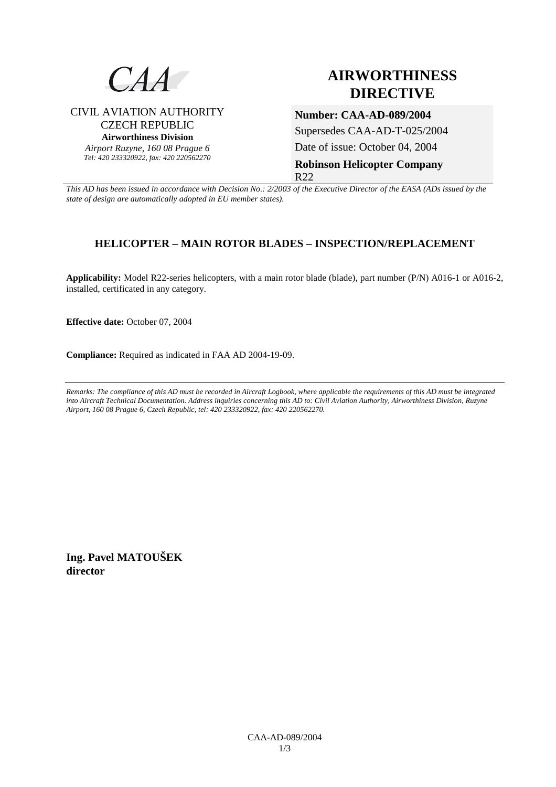

CIVIL AVIATION AUTHORITY CZECH REPUBLIC **Airworthiness Division**  *Airport Ruzyne, 160 08 Prague 6 Tel: 420 233320922, fax: 420 220562270*

## **AIRWORTHINESS DIRECTIVE**

**Number: CAA-AD-089/2004**  Supersedes CAA-AD-T-025/2004 Date of issue: October 04, 2004 **Robinson Helicopter Company**  R22

*This AD has been issued in accordance with Decision No.: 2/2003 of the Executive Director of the EASA (ADs issued by the state of design are automatically adopted in EU member states).*

## **HELICOPTER – MAIN ROTOR BLADES – INSPECTION/REPLACEMENT**

**Applicability:** Model R22-series helicopters, with a main rotor blade (blade), part number (P/N) A016-1 or A016-2, installed, certificated in any category.

**Effective date:** October 07, 2004

**Compliance:** Required as indicated in FAA AD 2004-19-09.

*Remarks: The compliance of this AD must be recorded in Aircraft Logbook, where applicable the requirements of this AD must be integrated into Aircraft Technical Documentation. Address inquiries concerning this AD to: Civil Aviation Authority, Airworthiness Division, Ruzyne Airport, 160 08 Prague 6, Czech Republic, tel: 420 233320922, fax: 420 220562270.* 

**Ing. Pavel MATOUŠEK director**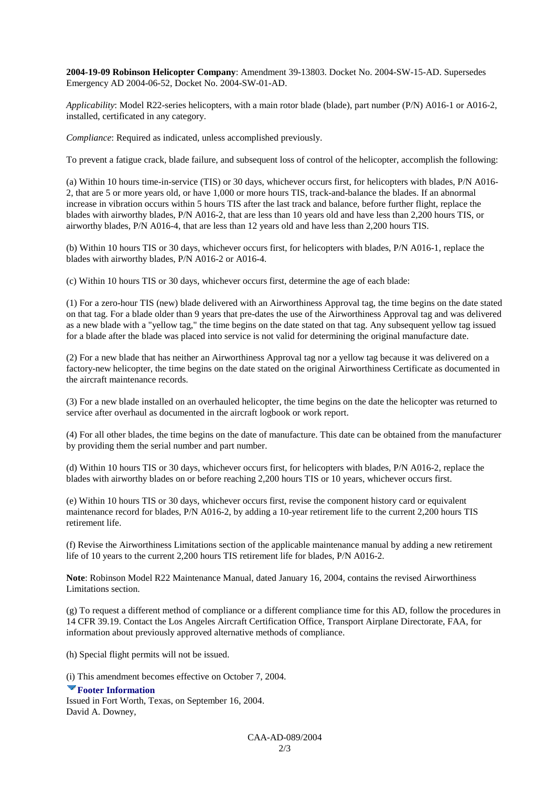**2004-19-09 Robinson Helicopter Company**: Amendment 39-13803. Docket No. 2004-SW-15-AD. Supersedes Emergency AD 2004-06-52, Docket No. 2004-SW-01-AD.

*Applicability*: Model R22-series helicopters, with a main rotor blade (blade), part number (P/N) A016-1 or A016-2, installed, certificated in any category.

*Compliance*: Required as indicated, unless accomplished previously.

To prevent a fatigue crack, blade failure, and subsequent loss of control of the helicopter, accomplish the following:

(a) Within 10 hours time-in-service (TIS) or 30 days, whichever occurs first, for helicopters with blades, P/N A016- 2, that are 5 or more years old, or have 1,000 or more hours TIS, track-and-balance the blades. If an abnormal increase in vibration occurs within 5 hours TIS after the last track and balance, before further flight, replace the blades with airworthy blades, P/N A016-2, that are less than 10 years old and have less than 2,200 hours TIS, or airworthy blades, P/N A016-4, that are less than 12 years old and have less than 2,200 hours TIS.

(b) Within 10 hours TIS or 30 days, whichever occurs first, for helicopters with blades, P/N A016-1, replace the blades with airworthy blades, P/N A016-2 or A016-4.

(c) Within 10 hours TIS or 30 days, whichever occurs first, determine the age of each blade:

(1) For a zero-hour TIS (new) blade delivered with an Airworthiness Approval tag, the time begins on the date stated on that tag. For a blade older than 9 years that pre-dates the use of the Airworthiness Approval tag and was delivered as a new blade with a "yellow tag," the time begins on the date stated on that tag. Any subsequent yellow tag issued for a blade after the blade was placed into service is not valid for determining the original manufacture date.

(2) For a new blade that has neither an Airworthiness Approval tag nor a yellow tag because it was delivered on a factory-new helicopter, the time begins on the date stated on the original Airworthiness Certificate as documented in the aircraft maintenance records.

(3) For a new blade installed on an overhauled helicopter, the time begins on the date the helicopter was returned to service after overhaul as documented in the aircraft logbook or work report.

(4) For all other blades, the time begins on the date of manufacture. This date can be obtained from the manufacturer by providing them the serial number and part number.

(d) Within 10 hours TIS or 30 days, whichever occurs first, for helicopters with blades, P/N A016-2, replace the blades with airworthy blades on or before reaching 2,200 hours TIS or 10 years, whichever occurs first.

(e) Within 10 hours TIS or 30 days, whichever occurs first, revise the component history card or equivalent maintenance record for blades, P/N A016-2, by adding a 10-year retirement life to the current 2,200 hours TIS retirement life.

(f) Revise the Airworthiness Limitations section of the applicable maintenance manual by adding a new retirement life of 10 years to the current 2,200 hours TIS retirement life for blades, P/N A016-2.

**Note**: Robinson Model R22 Maintenance Manual, dated January 16, 2004, contains the revised Airworthiness Limitations section.

(g) To request a different method of compliance or a different compliance time for this AD, follow the procedures in 14 CFR 39.19. Contact the Los Angeles Aircraft Certification Office, Transport Airplane Directorate, FAA, for information about previously approved alternative methods of compliance.

(h) Special flight permits will not be issued.

(i) This amendment becomes effective on October 7, 2004.

**Footer Information** Issued in Fort Worth, Texas, on September 16, 2004. David A. Downey,